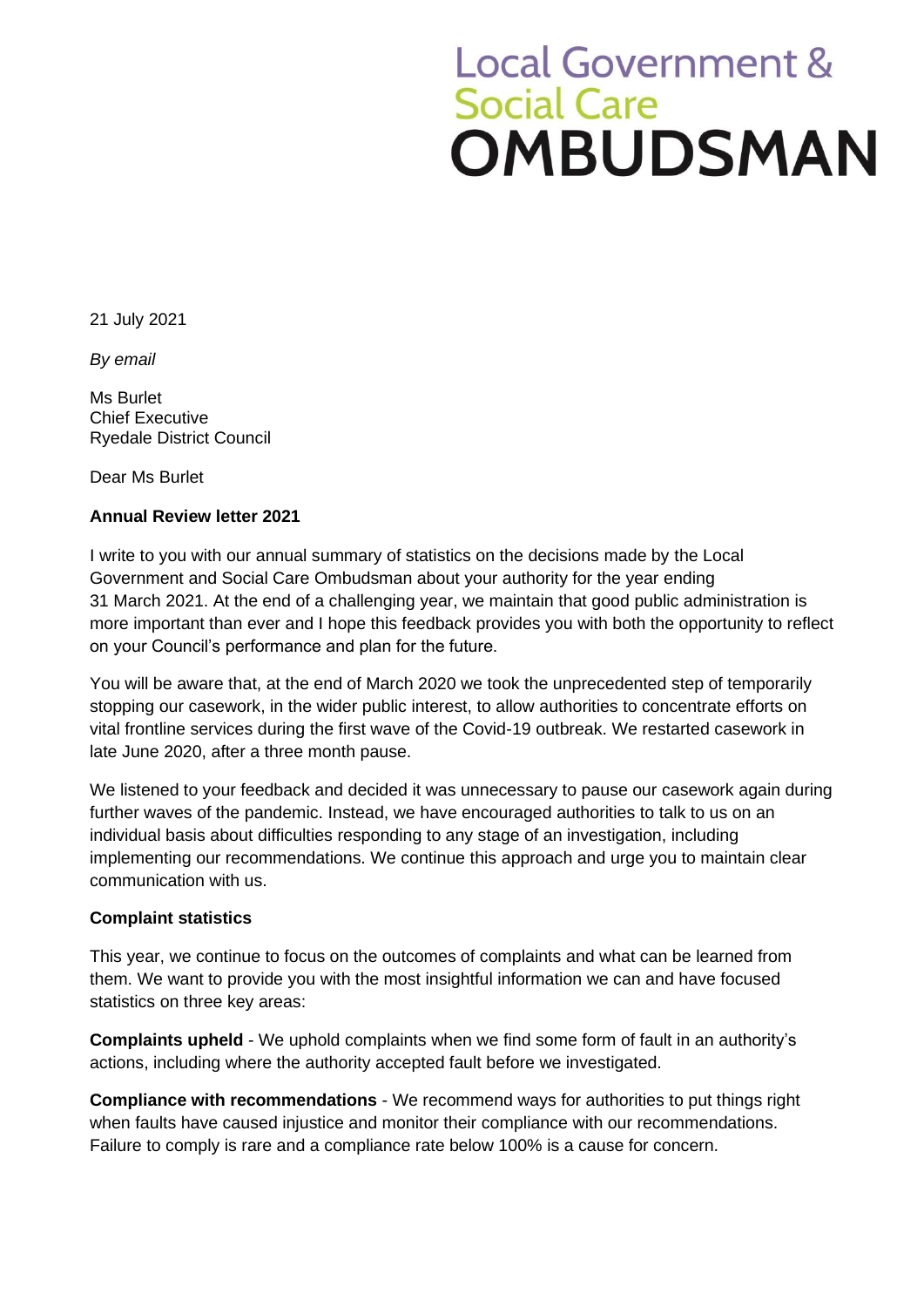## **Local Government &** Social Care<br>OMBUDSMAN

21 July 2021

*By email*

Ms Burlet Chief Executive Ryedale District Council

Dear Ms Burlet

## **Annual Review letter 2021**

I write to you with our annual summary of statistics on the decisions made by the Local Government and Social Care Ombudsman about your authority for the year ending 31 March 2021. At the end of a challenging year, we maintain that good public administration is more important than ever and I hope this feedback provides you with both the opportunity to reflect on your Council's performance and plan for the future.

You will be aware that, at the end of March 2020 we took the unprecedented step of temporarily stopping our casework, in the wider public interest, to allow authorities to concentrate efforts on vital frontline services during the first wave of the Covid-19 outbreak. We restarted casework in late June 2020, after a three month pause.

We listened to your feedback and decided it was unnecessary to pause our casework again during further waves of the pandemic. Instead, we have encouraged authorities to talk to us on an individual basis about difficulties responding to any stage of an investigation, including implementing our recommendations. We continue this approach and urge you to maintain clear communication with us.

## **Complaint statistics**

This year, we continue to focus on the outcomes of complaints and what can be learned from them. We want to provide you with the most insightful information we can and have focused statistics on three key areas:

**Complaints upheld** - We uphold complaints when we find some form of fault in an authority's actions, including where the authority accepted fault before we investigated.

**Compliance with recommendations** - We recommend ways for authorities to put things right when faults have caused injustice and monitor their compliance with our recommendations. Failure to comply is rare and a compliance rate below 100% is a cause for concern.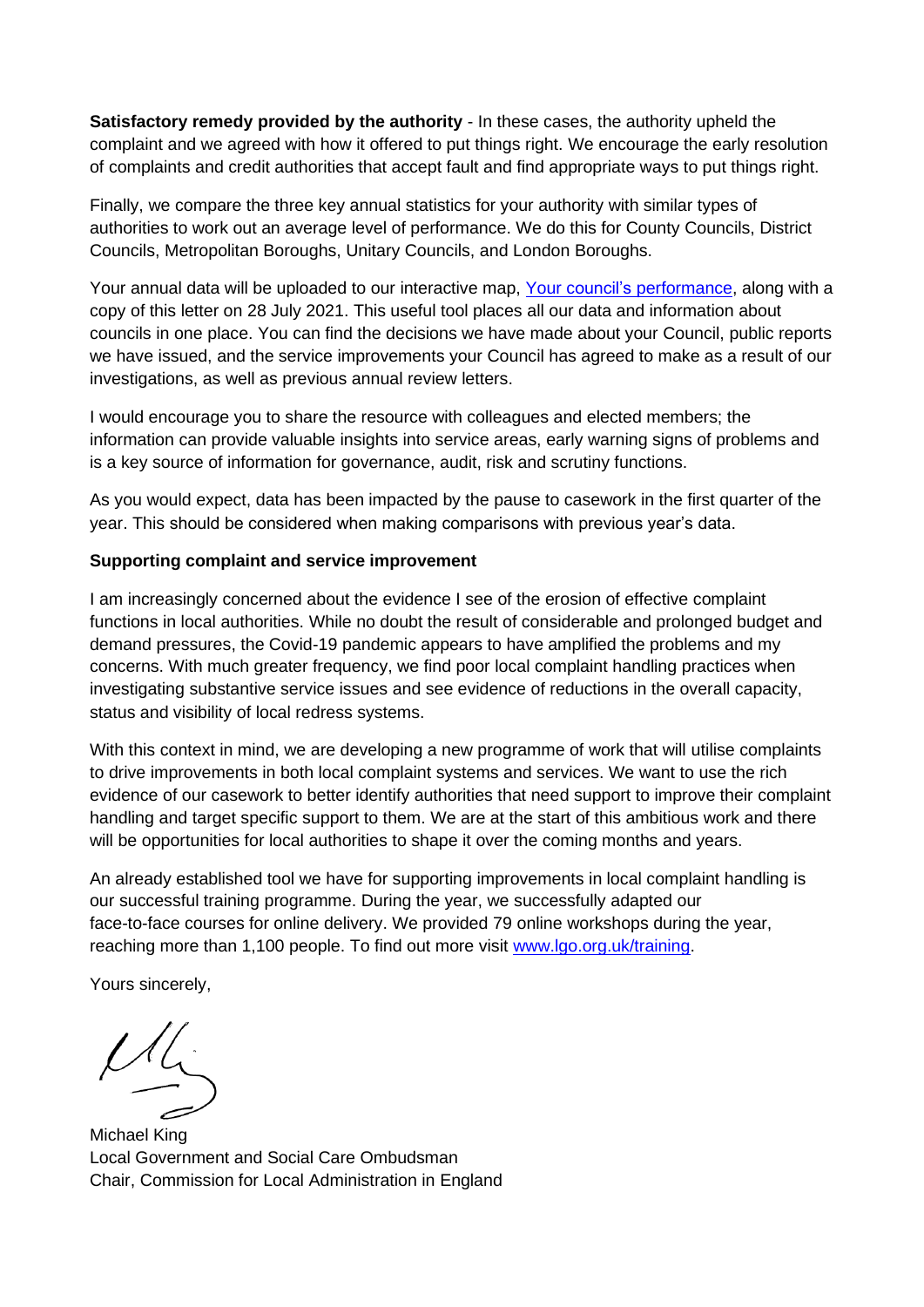**Satisfactory remedy provided by the authority** - In these cases, the authority upheld the complaint and we agreed with how it offered to put things right. We encourage the early resolution of complaints and credit authorities that accept fault and find appropriate ways to put things right.

Finally, we compare the three key annual statistics for your authority with similar types of authorities to work out an average level of performance. We do this for County Councils, District Councils, Metropolitan Boroughs, Unitary Councils, and London Boroughs.

Your annual data will be uploaded to our interactive map, [Your council's performance,](https://www.lgo.org.uk/your-councils-performance) along with a copy of this letter on 28 July 2021. This useful tool places all our data and information about councils in one place. You can find the decisions we have made about your Council, public reports we have issued, and the service improvements your Council has agreed to make as a result of our investigations, as well as previous annual review letters.

I would encourage you to share the resource with colleagues and elected members; the information can provide valuable insights into service areas, early warning signs of problems and is a key source of information for governance, audit, risk and scrutiny functions.

As you would expect, data has been impacted by the pause to casework in the first quarter of the year. This should be considered when making comparisons with previous year's data.

## **Supporting complaint and service improvement**

I am increasingly concerned about the evidence I see of the erosion of effective complaint functions in local authorities. While no doubt the result of considerable and prolonged budget and demand pressures, the Covid-19 pandemic appears to have amplified the problems and my concerns. With much greater frequency, we find poor local complaint handling practices when investigating substantive service issues and see evidence of reductions in the overall capacity, status and visibility of local redress systems.

With this context in mind, we are developing a new programme of work that will utilise complaints to drive improvements in both local complaint systems and services. We want to use the rich evidence of our casework to better identify authorities that need support to improve their complaint handling and target specific support to them. We are at the start of this ambitious work and there will be opportunities for local authorities to shape it over the coming months and years.

An already established tool we have for supporting improvements in local complaint handling is our successful training programme. During the year, we successfully adapted our face-to-face courses for online delivery. We provided 79 online workshops during the year, reaching more than 1,100 people. To find out more visit [www.lgo.org.uk/training.](http://www.lgo.org.uk/training)

Yours sincerely,

 $M_{\zeta}$ 

Michael King Local Government and Social Care Ombudsman Chair, Commission for Local Administration in England